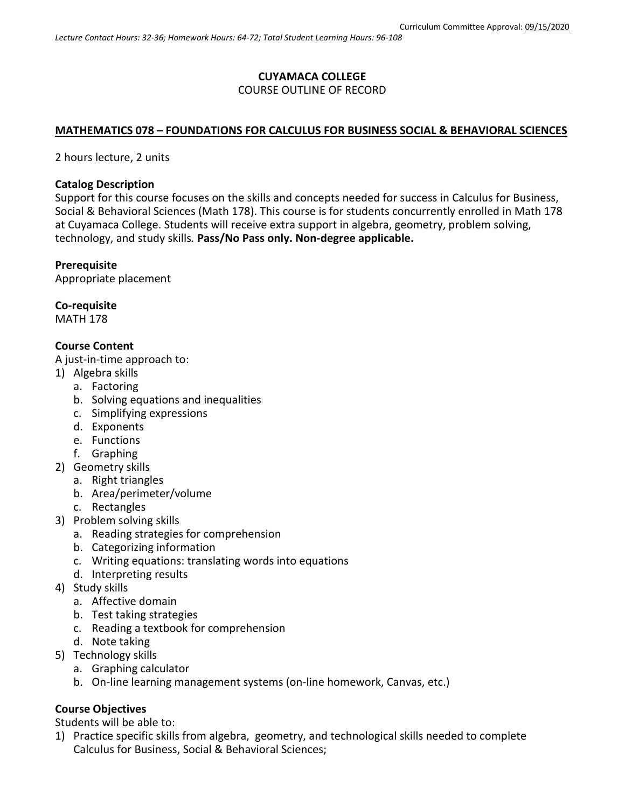### **CUYAMACA COLLEGE** COURSE OUTLINE OF RECORD

### **MATHEMATICS 078 – FOUNDATIONS FOR CALCULUS FOR BUSINESS SOCIAL & BEHAVIORAL SCIENCES**

2 hours lecture, 2 units

#### **Catalog Description**

Support for this course focuses on the skills and concepts needed for success in Calculus for Business, Social & Behavioral Sciences (Math 178). This course is for students concurrently enrolled in Math 178 at Cuyamaca College. Students will receive extra support in algebra, geometry, problem solving, technology, and study skills*.* **Pass/No Pass only. Non-degree applicable.**

#### **Prerequisite**

Appropriate placement

#### **Co-requisite**

MATH 178

### **Course Content**

A just-in-time approach to:

- 1) Algebra skills
	- a. Factoring
	- b. Solving equations and inequalities
	- c. Simplifying expressions
	- d. Exponents
	- e. Functions
	- f. Graphing
- 2) Geometry skills
	- a. Right triangles
	- b. Area/perimeter/volume
	- c. Rectangles
- 3) Problem solving skills
	- a. Reading strategies for comprehension
	- b. Categorizing information
	- c. Writing equations: translating words into equations
	- d. Interpreting results
- 4) Study skills
	- a. Affective domain
	- b. Test taking strategies
	- c. Reading a textbook for comprehension
	- d. Note taking
- 5) Technology skills
	- a. Graphing calculator
	- b. On-line learning management systems (on-line homework, Canvas, etc.)

# **Course Objectives**

Students will be able to:

1) Practice specific skills from algebra, geometry, and technological skills needed to complete Calculus for Business, Social & Behavioral Sciences;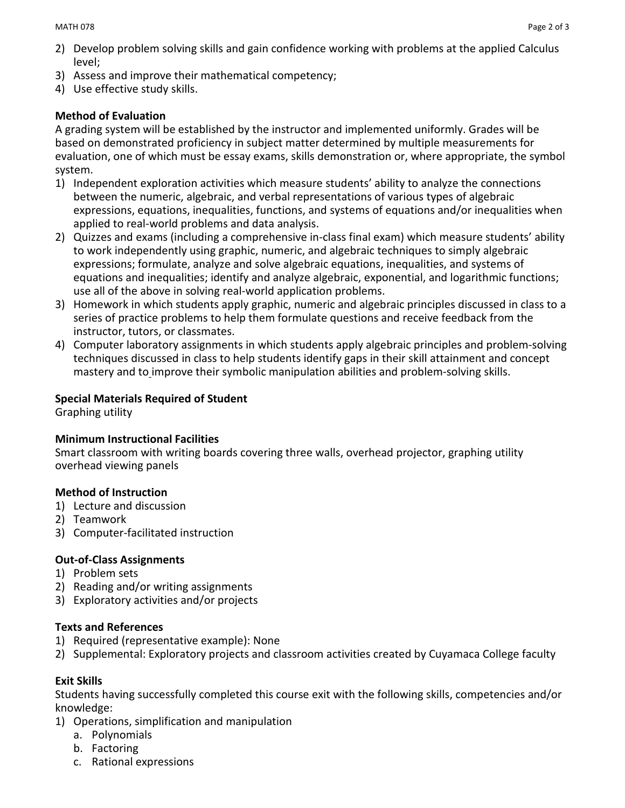- 3) Assess and improve their mathematical competency;
- 4) Use effective study skills.

## **Method of Evaluation**

A grading system will be established by the instructor and implemented uniformly. Grades will be based on demonstrated proficiency in subject matter determined by multiple measurements for evaluation, one of which must be essay exams, skills demonstration or, where appropriate, the symbol system.

- 1) Independent exploration activities which measure students' ability to analyze the connections between the numeric, algebraic, and verbal representations of various types of algebraic expressions, equations, inequalities, functions, and systems of equations and/or inequalities when applied to real-world problems and data analysis.
- 2) Quizzes and exams (including a comprehensive in-class final exam) which measure students' ability to work independently using graphic, numeric, and algebraic techniques to simply algebraic expressions; formulate, analyze and solve algebraic equations, inequalities, and systems of equations and inequalities; identify and analyze algebraic, exponential, and logarithmic functions; use all of the above in solving real-world application problems.
- 3) Homework in which students apply graphic, numeric and algebraic principles discussed in class to a series of practice problems to help them formulate questions and receive feedback from the instructor, tutors, or classmates.
- 4) Computer laboratory assignments in which students apply algebraic principles and problem-solving techniques discussed in class to help students identify gaps in their skill attainment and concept mastery and to improve their symbolic manipulation abilities and problem-solving skills.

## **Special Materials Required of Student**

Graphing utility

### **Minimum Instructional Facilities**

Smart classroom with writing boards covering three walls, overhead projector, graphing utility overhead viewing panels

### **Method of Instruction**

- 1) Lecture and discussion
- 2) Teamwork
- 3) Computer-facilitated instruction

# **Out-of-Class Assignments**

- 1) Problem sets
- 2) Reading and/or writing assignments
- 3) Exploratory activities and/or projects

### **Texts and References**

- 1) Required (representative example): None
- 2) Supplemental: Exploratory projects and classroom activities created by Cuyamaca College faculty

### **Exit Skills**

Students having successfully completed this course exit with the following skills, competencies and/or knowledge:

- 1) Operations, simplification and manipulation
	- a. Polynomials
	- b. Factoring
	- c. Rational expressions